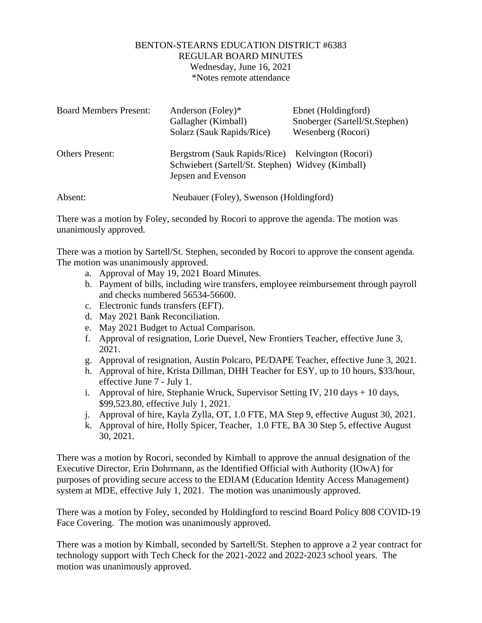## BENTON-STEARNS EDUCATION DISTRICT #6383 REGULAR BOARD MINUTES Wednesday, June 16, 2021 \*Notes remote attendance

| <b>Board Members Present:</b> | Anderson (Foley)*<br>Gallagher (Kimball)<br>Solarz (Sauk Rapids/Rice)                                                       | Ebnet (Holdingford)<br>Snoberger (Sartell/St.Stephen)<br>Wesenberg (Rocori) |
|-------------------------------|-----------------------------------------------------------------------------------------------------------------------------|-----------------------------------------------------------------------------|
| <b>Others Present:</b>        | Bergstrom (Sauk Rapids/Rice) Kelvington (Rocori)<br>Schwiebert (Sartell/St. Stephen) Widvey (Kimball)<br>Jepsen and Evenson |                                                                             |
| Absent:                       | Neubauer (Foley), Swenson (Holdingford)                                                                                     |                                                                             |

There was a motion by Foley, seconded by Rocori to approve the agenda. The motion was unanimously approved.

There was a motion by Sartell/St. Stephen, seconded by Rocori to approve the consent agenda. The motion was unanimously approved.

- a. Approval of May 19, 2021 Board Minutes.
- b. Payment of bills, including wire transfers, employee reimbursement through payroll and checks numbered 56534-56600.
- c. Electronic funds transfers (EFT).
- d. May 2021 Bank Reconciliation.
- e. May 2021 Budget to Actual Comparison.
- f. Approval of resignation, Lorie Duevel, New Frontiers Teacher, effective June 3, 2021.
- g. Approval of resignation, Austin Polcaro, PE/DAPE Teacher, effective June 3, 2021.
- h. Approval of hire, Krista Dillman, DHH Teacher for ESY, up to 10 hours, \$33/hour, effective June 7 - July 1.
- i. Approval of hire, Stephanie Wruck, Supervisor Setting IV,  $210 \text{ days} + 10 \text{ days}$ , \$99,523.80, effective July 1, 2021.
- j. Approval of hire, Kayla Zylla, OT, 1.0 FTE, MA Step 9, effective August 30, 2021.
- k. Approval of hire, Holly Spicer, Teacher, 1.0 FTE, BA 30 Step 5, effective August 30, 2021.

There was a motion by Rocori, seconded by Kimball to approve the annual designation of the Executive Director, Erin Dohrmann, as the Identified Official with Authority (IOwA) for purposes of providing secure access to the EDIAM (Education Identity Access Management) system at MDE, effective July 1, 2021. The motion was unanimously approved.

There was a motion by Foley, seconded by Holdingford to rescind Board Policy 808 COVID-19 Face Covering. The motion was unanimously approved.

There was a motion by Kimball, seconded by Sartell/St. Stephen to approve a 2 year contract for technology support with Tech Check for the 2021-2022 and 2022-2023 school years. The motion was unanimously approved.